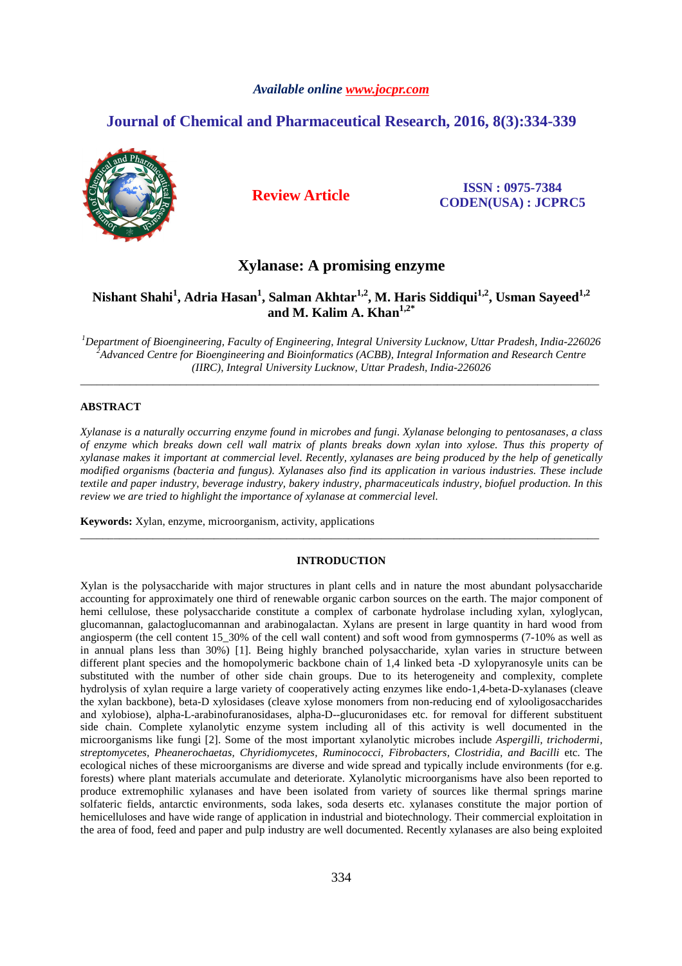# *Available online www.jocpr.com*

# **Journal of Chemical and Pharmaceutical Research, 2016, 8(3):334-339**



**Review Article ISSN : 0975-7384 CODEN(USA) : JCPRC5**

# **Xylanase: A promising enzyme**

# **Nishant Shahi<sup>1</sup> , Adria Hasan<sup>1</sup> , Salman Akhtar1,2, M. Haris Siddiqui1,2, Usman Sayeed1,2 and M. Kalim A. Khan1,2\***

*<sup>1</sup>Department of Bioengineering, Faculty of Engineering, Integral University Lucknow, Uttar Pradesh, India-226026 <sup>2</sup>Advanced Centre for Bioengineering and Bioinformatics (ACBB), Integral Information and Research Centre (IIRC), Integral University Lucknow, Uttar Pradesh, India-226026* 

\_\_\_\_\_\_\_\_\_\_\_\_\_\_\_\_\_\_\_\_\_\_\_\_\_\_\_\_\_\_\_\_\_\_\_\_\_\_\_\_\_\_\_\_\_\_\_\_\_\_\_\_\_\_\_\_\_\_\_\_\_\_\_\_\_\_\_\_\_\_\_\_\_\_\_\_\_\_\_\_\_\_\_\_\_\_\_\_\_\_\_\_\_

# **ABSTRACT**

*Xylanase is a naturally occurring enzyme found in microbes and fungi. Xylanase belonging to pentosanases, a class of enzyme which breaks down cell wall matrix of plants breaks down xylan into xylose. Thus this property of xylanase makes it important at commercial level. Recently, xylanases are being produced by the help of genetically modified organisms (bacteria and fungus). Xylanases also find its application in various industries. These include textile and paper industry, beverage industry, bakery industry, pharmaceuticals industry, biofuel production. In this review we are tried to highlight the importance of xylanase at commercial level.* 

**Keywords:** Xylan, enzyme, microorganism, activity, applications

# **INTRODUCTION**

\_\_\_\_\_\_\_\_\_\_\_\_\_\_\_\_\_\_\_\_\_\_\_\_\_\_\_\_\_\_\_\_\_\_\_\_\_\_\_\_\_\_\_\_\_\_\_\_\_\_\_\_\_\_\_\_\_\_\_\_\_\_\_\_\_\_\_\_\_\_\_\_\_\_\_\_\_\_\_\_\_\_\_\_\_\_\_\_\_\_\_\_\_

Xylan is the polysaccharide with major structures in plant cells and in nature the most abundant polysaccharide accounting for approximately one third of renewable organic carbon sources on the earth. The major component of hemi cellulose, these polysaccharide constitute a complex of carbonate hydrolase including xylan, xyloglycan, glucomannan, galactoglucomannan and arabinogalactan. Xylans are present in large quantity in hard wood from angiosperm (the cell content 15\_30% of the cell wall content) and soft wood from gymnosperms (7-10% as well as in annual plans less than 30%) [1]. Being highly branched polysaccharide, xylan varies in structure between different plant species and the homopolymeric backbone chain of 1,4 linked beta -D xylopyranosyle units can be substituted with the number of other side chain groups. Due to its heterogeneity and complexity, complete hydrolysis of xylan require a large variety of cooperatively acting enzymes like endo-1,4-beta-D-xylanases (cleave the xylan backbone), beta-D xylosidases (cleave xylose monomers from non-reducing end of xylooligosaccharides and xylobiose), alpha-L-arabinofuranosidases, alpha-D--glucuronidases etc. for removal for different substituent side chain. Complete xylanolytic enzyme system including all of this activity is well documented in the microorganisms like fungi [2]. Some of the most important xylanolytic microbes include *Aspergilli, trichodermi, streptomycetes, Pheanerochaetas, Chyridiomycetes, Ruminococci, Fibrobacters, Clostridia, and Bacilli* etc. The ecological niches of these microorganisms are diverse and wide spread and typically include environments (for e.g. forests) where plant materials accumulate and deteriorate. Xylanolytic microorganisms have also been reported to produce extremophilic xylanases and have been isolated from variety of sources like thermal springs marine solfateric fields, antarctic environments, soda lakes, soda deserts etc. xylanases constitute the major portion of hemicelluloses and have wide range of application in industrial and biotechnology. Their commercial exploitation in the area of food, feed and paper and pulp industry are well documented. Recently xylanases are also being exploited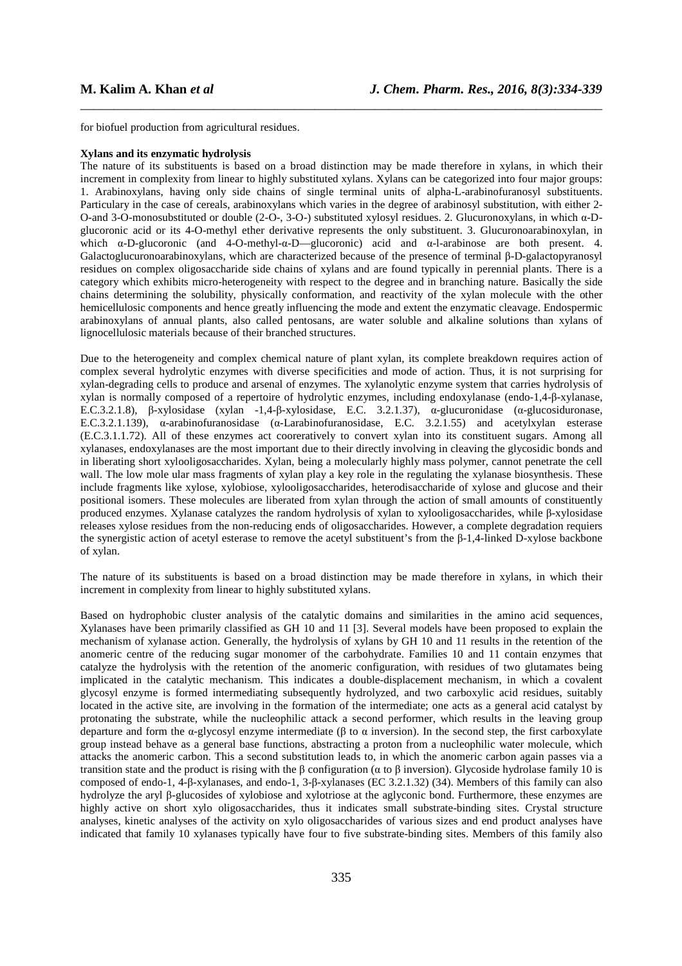for biofuel production from agricultural residues.

#### **Xylans and its enzymatic hydrolysis**

The nature of its substituents is based on a broad distinction may be made therefore in xylans, in which their increment in complexity from linear to highly substituted xylans. Xylans can be categorized into four major groups: 1. Arabinoxylans, having only side chains of single terminal units of alpha-L-arabinofuranosyl substituents. Particulary in the case of cereals, arabinoxylans which varies in the degree of arabinosyl substitution, with either 2- O-and 3-O-monosubstituted or double (2-O-, 3-O-) substituted xylosyl residues. 2. Glucuronoxylans, in which α-Dglucoronic acid or its 4-O-methyl ether derivative represents the only substituent. 3. Glucuronoarabinoxylan, in which α-D-glucoronic (and 4-O-methyl-α-D—glucoronic) acid and α-l-arabinose are both present. 4. Galactoglucuronoarabinoxylans, which are characterized because of the presence of terminal β-D-galactopyranosyl residues on complex oligosaccharide side chains of xylans and are found typically in perennial plants. There is a category which exhibits micro-heterogeneity with respect to the degree and in branching nature. Basically the side chains determining the solubility, physically conformation, and reactivity of the xylan molecule with the other hemicellulosic components and hence greatly influencing the mode and extent the enzymatic cleavage. Endospermic arabinoxylans of annual plants, also called pentosans, are water soluble and alkaline solutions than xylans of lignocellulosic materials because of their branched structures.

\_\_\_\_\_\_\_\_\_\_\_\_\_\_\_\_\_\_\_\_\_\_\_\_\_\_\_\_\_\_\_\_\_\_\_\_\_\_\_\_\_\_\_\_\_\_\_\_\_\_\_\_\_\_\_\_\_\_\_\_\_\_\_\_\_\_\_\_\_\_\_\_\_\_\_\_\_\_

Due to the heterogeneity and complex chemical nature of plant xylan, its complete breakdown requires action of complex several hydrolytic enzymes with diverse specificities and mode of action. Thus, it is not surprising for xylan-degrading cells to produce and arsenal of enzymes. The xylanolytic enzyme system that carries hydrolysis of xylan is normally composed of a repertoire of hydrolytic enzymes, including endoxylanase (endo-1,4-β-xylanase, E.C.3.2.1.8), β-xylosidase (xylan -1,4-β-xylosidase, E.C. 3.2.1.37), α-glucuronidase (α-glucosiduronase, E.C.3.2.1.139), α-arabinofuranosidase (α-Larabinofuranosidase, E.C. 3.2.1.55) and acetylxylan esterase (E.C.3.1.1.72). All of these enzymes act cooreratively to convert xylan into its constituent sugars. Among all xylanases, endoxylanases are the most important due to their directly involving in cleaving the glycosidic bonds and in liberating short xylooligosaccharides. Xylan, being a molecularly highly mass polymer, cannot penetrate the cell wall. The low mole ular mass fragments of xylan play a key role in the regulating the xylanase biosynthesis. These include fragments like xylose, xylobiose, xylooligosaccharides, heterodisaccharide of xylose and glucose and their positional isomers. These molecules are liberated from xylan through the action of small amounts of constituently produced enzymes. Xylanase catalyzes the random hydrolysis of xylan to xylooligosaccharides, while β-xylosidase releases xylose residues from the non-reducing ends of oligosaccharides. However, a complete degradation requiers the synergistic action of acetyl esterase to remove the acetyl substituent's from the β-1,4-linked D-xylose backbone of xylan.

The nature of its substituents is based on a broad distinction may be made therefore in xylans, in which their increment in complexity from linear to highly substituted xylans.

Based on hydrophobic cluster analysis of the catalytic domains and similarities in the amino acid sequences, Xylanases have been primarily classified as GH 10 and 11 [3]. Several models have been proposed to explain the mechanism of xylanase action. Generally, the hydrolysis of xylans by GH 10 and 11 results in the retention of the anomeric centre of the reducing sugar monomer of the carbohydrate. Families 10 and 11 contain enzymes that catalyze the hydrolysis with the retention of the anomeric configuration, with residues of two glutamates being implicated in the catalytic mechanism. This indicates a double-displacement mechanism, in which a covalent glycosyl enzyme is formed intermediating subsequently hydrolyzed, and two carboxylic acid residues, suitably located in the active site, are involving in the formation of the intermediate; one acts as a general acid catalyst by protonating the substrate, while the nucleophilic attack a second performer, which results in the leaving group departure and form the  $\alpha$ -glycosyl enzyme intermediate ( $\beta$  to  $\alpha$  inversion). In the second step, the first carboxylate group instead behave as a general base functions, abstracting a proton from a nucleophilic water molecule, which attacks the anomeric carbon. This a second substitution leads to, in which the anomeric carbon again passes via a transition state and the product is rising with the β configuration (α to β inversion). Glycoside hydrolase family 10 is composed of endo-1, 4-β-xylanases, and endo-1, 3-β-xylanases (EC 3.2.1.32) (34). Members of this family can also hydrolyze the aryl β-glucosides of xylobiose and xylotriose at the aglyconic bond. Furthermore, these enzymes are highly active on short xylo oligosaccharides, thus it indicates small substrate-binding sites. Crystal structure analyses, kinetic analyses of the activity on xylo oligosaccharides of various sizes and end product analyses have indicated that family 10 xylanases typically have four to five substrate-binding sites. Members of this family also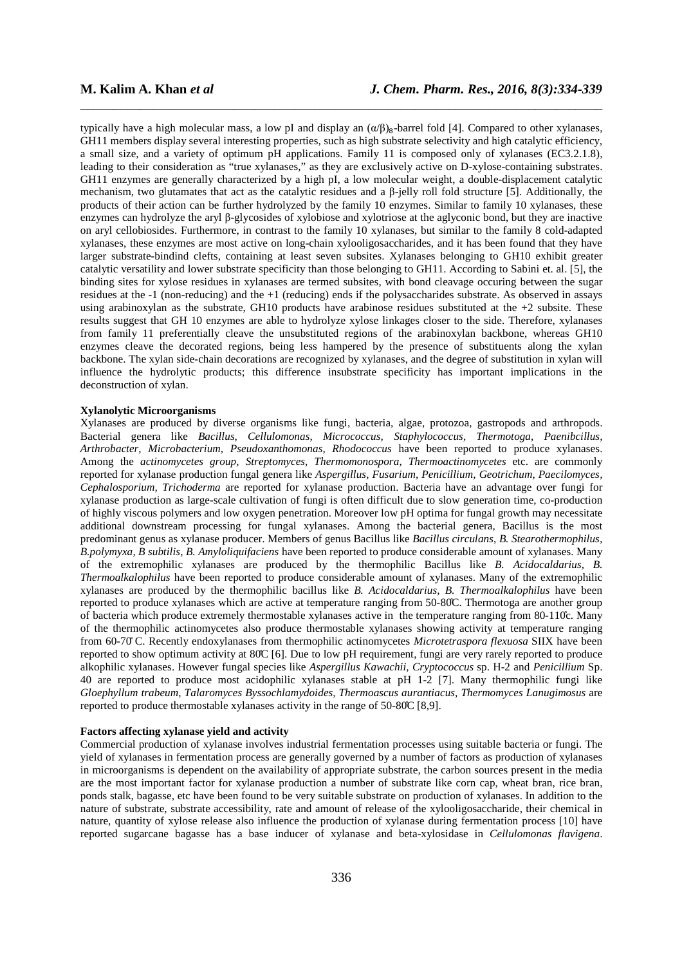typically have a high molecular mass, a low pI and display an  $(α/β)_8$ -barrel fold [4]. Compared to other xylanases, GH11 members display several interesting properties, such as high substrate selectivity and high catalytic efficiency, a small size, and a variety of optimum pH applications. Family 11 is composed only of xylanases (EC3.2.1.8), leading to their consideration as "true xylanases," as they are exclusively active on D-xylose-containing substrates. GH11 enzymes are generally characterized by a high pI, a low molecular weight, a double-displacement catalytic mechanism, two glutamates that act as the catalytic residues and a β-jelly roll fold structure [5]. Additionally, the products of their action can be further hydrolyzed by the family 10 enzymes. Similar to family 10 xylanases, these enzymes can hydrolyze the aryl β-glycosides of xylobiose and xylotriose at the aglyconic bond, but they are inactive on aryl cellobiosides. Furthermore, in contrast to the family 10 xylanases, but similar to the family 8 cold-adapted xylanases, these enzymes are most active on long-chain xylooligosaccharides, and it has been found that they have larger substrate-bindind clefts, containing at least seven subsites. Xylanases belonging to GH10 exhibit greater catalytic versatility and lower substrate specificity than those belonging to GH11. According to Sabini et. al. [5], the binding sites for xylose residues in xylanases are termed subsites, with bond cleavage occuring between the sugar residues at the -1 (non-reducing) and the +1 (reducing) ends if the polysaccharides substrate. As observed in assays using arabinoxylan as the substrate, GH10 products have arabinose residues substituted at the +2 subsite. These results suggest that GH 10 enzymes are able to hydrolyze xylose linkages closer to the side. Therefore, xylanases from family 11 preferentially cleave the unsubstituted regions of the arabinoxylan backbone, whereas GH10 enzymes cleave the decorated regions, being less hampered by the presence of substituents along the xylan backbone. The xylan side-chain decorations are recognized by xylanases, and the degree of substitution in xylan will influence the hydrolytic products; this difference insubstrate specificity has important implications in the deconstruction of xylan.

\_\_\_\_\_\_\_\_\_\_\_\_\_\_\_\_\_\_\_\_\_\_\_\_\_\_\_\_\_\_\_\_\_\_\_\_\_\_\_\_\_\_\_\_\_\_\_\_\_\_\_\_\_\_\_\_\_\_\_\_\_\_\_\_\_\_\_\_\_\_\_\_\_\_\_\_\_\_

#### **Xylanolytic Microorganisms**

Xylanases are produced by diverse organisms like fungi, bacteria, algae, protozoa, gastropods and arthropods. Bacterial genera like *Bacillus, Cellulomonas, Micrococcus, Staphylococcus, Thermotoga, Paenibcillus, Arthrobacter, Microbacterium, Pseudoxanthomonas, Rhodococcus* have been reported to produce xylanases. Among the *actinomycetes group, Streptomyces, Thermomonospora, Thermoactinomycetes* etc. are commonly reported for xylanase production fungal genera like *Aspergillus, Fusarium, Penicillium, Geotrichum, Paecilomyces, Cephalosporium, Trichoderma* are reported for xylanase production. Bacteria have an advantage over fungi for xylanase production as large-scale cultivation of fungi is often difficult due to slow generation time, co-production of highly viscous polymers and low oxygen penetration. Moreover low pH optima for fungal growth may necessitate additional downstream processing for fungal xylanases. Among the bacterial genera, Bacillus is the most predominant genus as xylanase producer. Members of genus Bacillus like *Bacillus circulans*, *B. Stearothermophilus, B.polymyxa, B subtilis, B. Amyloliquifaciens* have been reported to produce considerable amount of xylanases. Many of the extremophilic xylanases are produced by the thermophilic Bacillus like *B. Acidocaldarius, B. Thermoalkalophilus* have been reported to produce considerable amount of xylanases. Many of the extremophilic xylanases are produced by the thermophilic bacillus like *B. Acidocaldarius, B. Thermoalkalophilus* have been reported to produce xylanases which are active at temperature ranging from 50-80̊C. Thermotoga are another group of bacteria which produce extremely thermostable xylanases active in the temperature ranging from 80-110̊c. Many of the thermophilic actinomycetes also produce thermostable xylanases showing activity at temperature ranging from 60-70̊ C. Recently endoxylanases from thermophilic actinomycetes *Microtetraspora flexuosa* SIIX have been reported to show optimum activity at 80̊C [6]. Due to low pH requirement, fungi are very rarely reported to produce alkophilic xylanases. However fungal species like *Aspergillus Kawachii, Cryptococcus* sp. H-2 and *Penicillium* Sp. 40 are reported to produce most acidophilic xylanases stable at pH 1-2 [7]. Many thermophilic fungi like *Gloephyllum trabeum, Talaromyces Byssochlamydoides, Thermoascus aurantiacus, Thermomyces Lanugimosus* are reported to produce thermostable xylanases activity in the range of 50-80̊C [8,9].

# **Factors affecting xylanase yield and activity**

Commercial production of xylanase involves industrial fermentation processes using suitable bacteria or fungi. The yield of xylanases in fermentation process are generally governed by a number of factors as production of xylanases in microorganisms is dependent on the availability of appropriate substrate, the carbon sources present in the media are the most important factor for xylanase production a number of substrate like corn cap, wheat bran, rice bran, ponds stalk, bagasse, etc have been found to be very suitable substrate on production of xylanases. In addition to the nature of substrate, substrate accessibility, rate and amount of release of the xylooligosaccharide, their chemical in nature, quantity of xylose release also influence the production of xylanase during fermentation process [10] have reported sugarcane bagasse has a base inducer of xylanase and beta-xylosidase in *Cellulomonas flavigena*.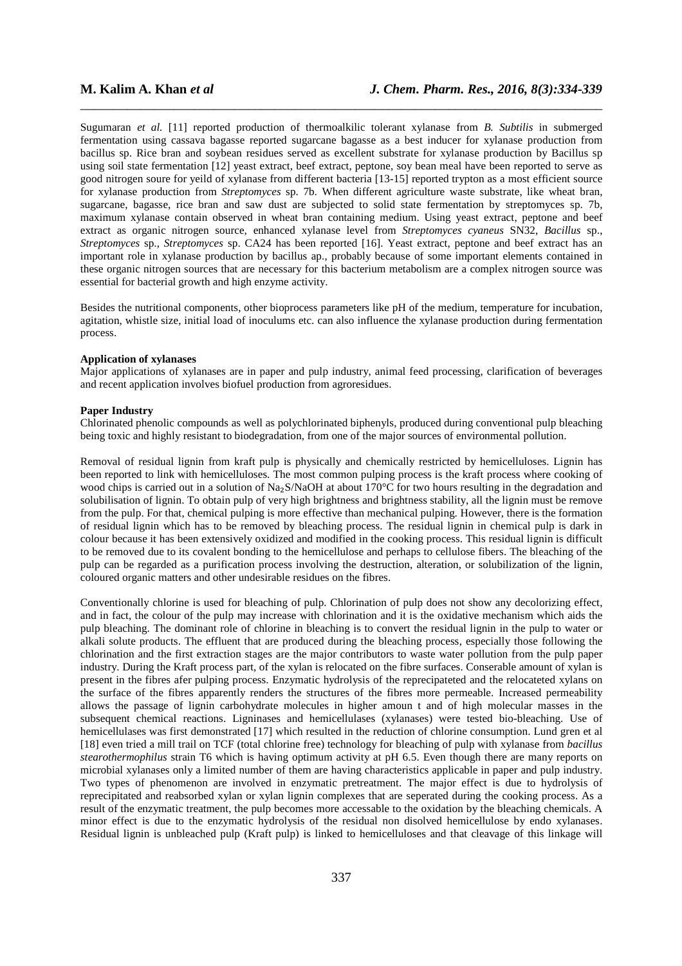Sugumaran *et al.* [11] reported production of thermoalkilic tolerant xylanase from *B. Subtilis* in submerged fermentation using cassava bagasse reported sugarcane bagasse as a best inducer for xylanase production from bacillus sp. Rice bran and soybean residues served as excellent substrate for xylanase production by Bacillus sp using soil state fermentation [12] yeast extract, beef extract, peptone, soy bean meal have been reported to serve as good nitrogen soure for yeild of xylanase from different bacteria [13-15] reported trypton as a most efficient source for xylanase production from *Streptomyces* sp. 7b. When different agriculture waste substrate, like wheat bran, sugarcane, bagasse, rice bran and saw dust are subjected to solid state fermentation by streptomyces sp. 7b, maximum xylanase contain observed in wheat bran containing medium. Using yeast extract, peptone and beef extract as organic nitrogen source, enhanced xylanase level from *Streptomyces cyaneus* SN32, *Bacillus* sp., *Streptomyces* sp., *Streptomyces* sp. CA24 has been reported [16]. Yeast extract, peptone and beef extract has an important role in xylanase production by bacillus ap., probably because of some important elements contained in these organic nitrogen sources that are necessary for this bacterium metabolism are a complex nitrogen source was essential for bacterial growth and high enzyme activity.

\_\_\_\_\_\_\_\_\_\_\_\_\_\_\_\_\_\_\_\_\_\_\_\_\_\_\_\_\_\_\_\_\_\_\_\_\_\_\_\_\_\_\_\_\_\_\_\_\_\_\_\_\_\_\_\_\_\_\_\_\_\_\_\_\_\_\_\_\_\_\_\_\_\_\_\_\_\_

Besides the nutritional components, other bioprocess parameters like pH of the medium, temperature for incubation, agitation, whistle size, initial load of inoculums etc. can also influence the xylanase production during fermentation process.

## **Application of xylanases**

Major applications of xylanases are in paper and pulp industry, animal feed processing, clarification of beverages and recent application involves biofuel production from agroresidues.

## **Paper Industry**

Chlorinated phenolic compounds as well as polychlorinated biphenyls, produced during conventional pulp bleaching being toxic and highly resistant to biodegradation, from one of the major sources of environmental pollution.

Removal of residual lignin from kraft pulp is physically and chemically restricted by hemicelluloses. Lignin has been reported to link with hemicelluloses. The most common pulping process is the kraft process where cooking of wood chips is carried out in a solution of Na<sub>2</sub>S/NaOH at about 170°C for two hours resulting in the degradation and solubilisation of lignin. To obtain pulp of very high brightness and brightness stability, all the lignin must be remove from the pulp. For that, chemical pulping is more effective than mechanical pulping. However, there is the formation of residual lignin which has to be removed by bleaching process. The residual lignin in chemical pulp is dark in colour because it has been extensively oxidized and modified in the cooking process. This residual lignin is difficult to be removed due to its covalent bonding to the hemicellulose and perhaps to cellulose fibers. The bleaching of the pulp can be regarded as a purification process involving the destruction, alteration, or solubilization of the lignin, coloured organic matters and other undesirable residues on the fibres.

Conventionally chlorine is used for bleaching of pulp. Chlorination of pulp does not show any decolorizing effect, and in fact, the colour of the pulp may increase with chlorination and it is the oxidative mechanism which aids the pulp bleaching. The dominant role of chlorine in bleaching is to convert the residual lignin in the pulp to water or alkali solute products. The effluent that are produced during the bleaching process, especially those following the chlorination and the first extraction stages are the major contributors to waste water pollution from the pulp paper industry. During the Kraft process part, of the xylan is relocated on the fibre surfaces. Conserable amount of xylan is present in the fibres afer pulping process. Enzymatic hydrolysis of the reprecipateted and the relocateted xylans on the surface of the fibres apparently renders the structures of the fibres more permeable. Increased permeability allows the passage of lignin carbohydrate molecules in higher amoun t and of high molecular masses in the subsequent chemical reactions. Ligninases and hemicellulases (xylanases) were tested bio-bleaching. Use of hemicellulases was first demonstrated [17] which resulted in the reduction of chlorine consumption. Lund gren et al [18] even tried a mill trail on TCF (total chlorine free) technology for bleaching of pulp with xylanase from *bacillus stearothermophilus* strain T6 which is having optimum activity at pH 6.5. Even though there are many reports on microbial xylanases only a limited number of them are having characteristics applicable in paper and pulp industry. Two types of phenomenon are involved in enzymatic pretreatment. The major effect is due to hydrolysis of reprecipitated and reabsorbed xylan or xylan lignin complexes that are seperated during the cooking process. As a result of the enzymatic treatment, the pulp becomes more accessable to the oxidation by the bleaching chemicals. A minor effect is due to the enzymatic hydrolysis of the residual non disolved hemicellulose by endo xylanases. Residual lignin is unbleached pulp (Kraft pulp) is linked to hemicelluloses and that cleavage of this linkage will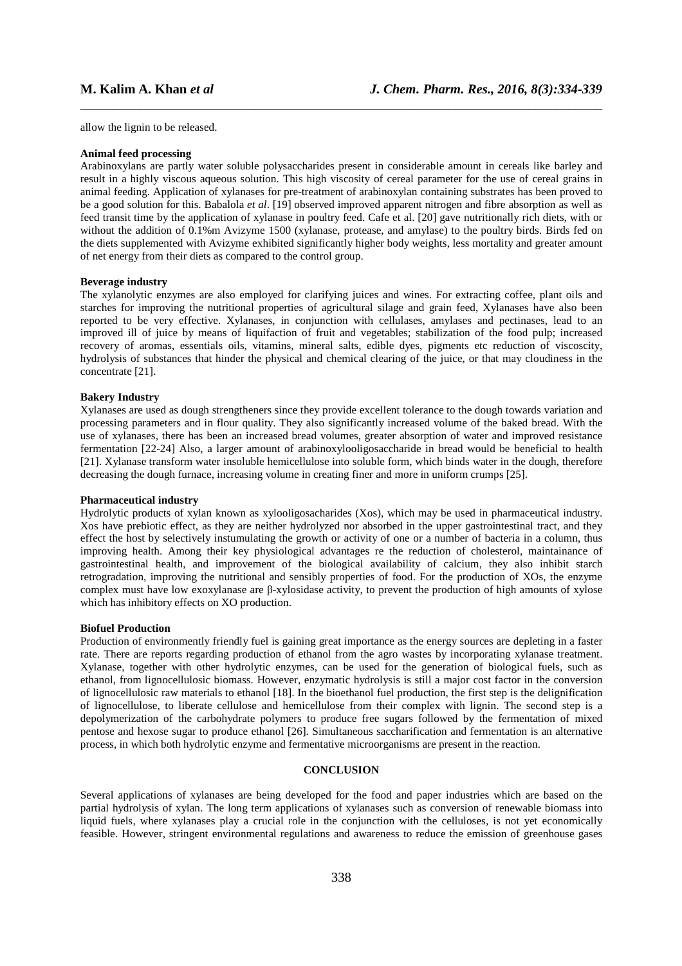allow the lignin to be released.

#### **Animal feed processing**

Arabinoxylans are partly water soluble polysaccharides present in considerable amount in cereals like barley and result in a highly viscous aqueous solution. This high viscosity of cereal parameter for the use of cereal grains in animal feeding. Application of xylanases for pre-treatment of arabinoxylan containing substrates has been proved to be a good solution for this. Babalola *et al*. [19] observed improved apparent nitrogen and fibre absorption as well as feed transit time by the application of xylanase in poultry feed. Cafe et al. [20] gave nutritionally rich diets, with or without the addition of 0.1%m Avizyme 1500 (xylanase, protease, and amylase) to the poultry birds. Birds fed on the diets supplemented with Avizyme exhibited significantly higher body weights, less mortality and greater amount of net energy from their diets as compared to the control group.

\_\_\_\_\_\_\_\_\_\_\_\_\_\_\_\_\_\_\_\_\_\_\_\_\_\_\_\_\_\_\_\_\_\_\_\_\_\_\_\_\_\_\_\_\_\_\_\_\_\_\_\_\_\_\_\_\_\_\_\_\_\_\_\_\_\_\_\_\_\_\_\_\_\_\_\_\_\_

## **Beverage industry**

The xylanolytic enzymes are also employed for clarifying juices and wines. For extracting coffee, plant oils and starches for improving the nutritional properties of agricultural silage and grain feed, Xylanases have also been reported to be very effective. Xylanases, in conjunction with cellulases, amylases and pectinases, lead to an improved ill of juice by means of liquifaction of fruit and vegetables; stabilization of the food pulp; increased recovery of aromas, essentials oils, vitamins, mineral salts, edible dyes, pigments etc reduction of viscoscity, hydrolysis of substances that hinder the physical and chemical clearing of the juice, or that may cloudiness in the concentrate [21].

# **Bakery Industry**

Xylanases are used as dough strengtheners since they provide excellent tolerance to the dough towards variation and processing parameters and in flour quality. They also significantly increased volume of the baked bread. With the use of xylanases, there has been an increased bread volumes, greater absorption of water and improved resistance fermentation [22-24] Also, a larger amount of arabinoxylooligosaccharide in bread would be beneficial to health [21]. Xylanase transform water insoluble hemicellulose into soluble form, which binds water in the dough, therefore decreasing the dough furnace, increasing volume in creating finer and more in uniform crumps [25].

# **Pharmaceutical industry**

Hydrolytic products of xylan known as xylooligosacharides (Xos), which may be used in pharmaceutical industry. Xos have prebiotic effect, as they are neither hydrolyzed nor absorbed in the upper gastrointestinal tract, and they effect the host by selectively instumulating the growth or activity of one or a number of bacteria in a column, thus improving health. Among their key physiological advantages re the reduction of cholesterol, maintainance of gastrointestinal health, and improvement of the biological availability of calcium, they also inhibit starch retrogradation, improving the nutritional and sensibly properties of food. For the production of XOs, the enzyme complex must have low exoxylanase are β-xylosidase activity, to prevent the production of high amounts of xylose which has inhibitory effects on XO production.

## **Biofuel Production**

Production of environmently friendly fuel is gaining great importance as the energy sources are depleting in a faster rate. There are reports regarding production of ethanol from the agro wastes by incorporating xylanase treatment. Xylanase, together with other hydrolytic enzymes, can be used for the generation of biological fuels, such as ethanol, from lignocellulosic biomass. However, enzymatic hydrolysis is still a major cost factor in the conversion of lignocellulosic raw materials to ethanol [18]. In the bioethanol fuel production, the first step is the delignification of lignocellulose, to liberate cellulose and hemicellulose from their complex with lignin. The second step is a depolymerization of the carbohydrate polymers to produce free sugars followed by the fermentation of mixed pentose and hexose sugar to produce ethanol [26]. Simultaneous saccharification and fermentation is an alternative process, in which both hydrolytic enzyme and fermentative microorganisms are present in the reaction.

### **CONCLUSION**

Several applications of xylanases are being developed for the food and paper industries which are based on the partial hydrolysis of xylan. The long term applications of xylanases such as conversion of renewable biomass into liquid fuels, where xylanases play a crucial role in the conjunction with the celluloses, is not yet economically feasible. However, stringent environmental regulations and awareness to reduce the emission of greenhouse gases